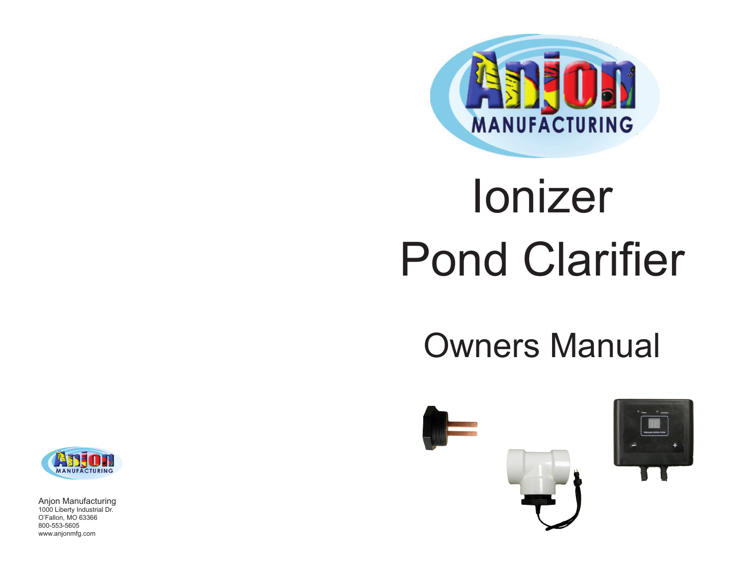

# Ionizer Pond Clarifier

# Owners Manual





Anjon Manufacturing 1000 Liberty Industrial Dr. O'Fallon, MO 63366 800-553-5605 www.anjonmfg.com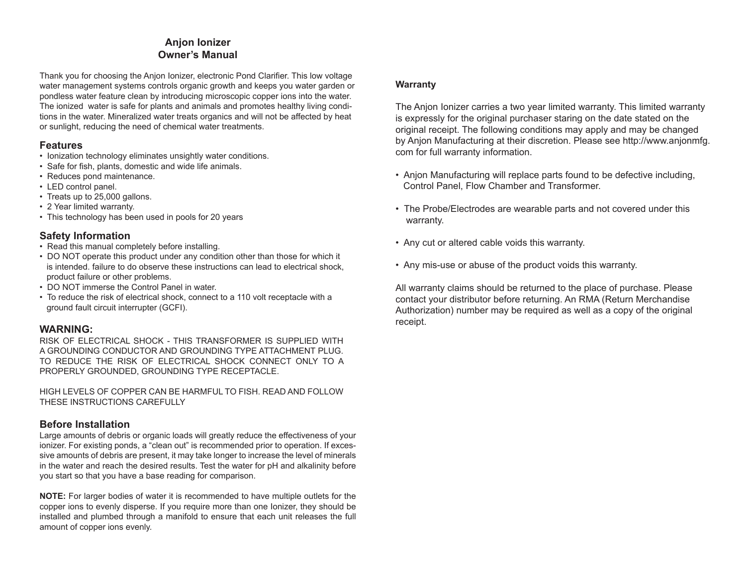# **Anjon Ionizer Owner's Manual**

Thank you for choosing the Anjon Ionizer, electronic Pond Clarifier. This low voltage water management systems controls organic growth and keeps you water garden or pondless water feature clean by introducing microscopic copper ions into the water. The ionized water is safe for plants and animals and promotes healthy living conditions in the water. Mineralized water treats organics and will not be affected by heat or sunlight, reducing the need of chemical water treatments.

# **Features**

- Ionization technology eliminates unsightly water conditions.
- Safe for fish, plants, domestic and wide life animals.
- Reduces pond maintenance.
- LED control panel.
- Treats up to 25,000 gallons.
- 2 Year limited warranty.
- This technology has been used in pools for 20 years

# **Safety Information**

- Read this manual completely before installing.
- DO NOT operate this product under any condition other than those for which it is intended. failure to do observe these instructions can lead to electrical shock, product failure or other problems.
- DO NOT immerse the Control Panel in water.
- To reduce the risk of electrical shock, connect to a 110 volt receptacle with a ground fault circuit interrupter (GCFI).

# **WARNING:**

 RISK OF ELECTRICAL SHOCK - THIS TRANSFORMER IS SUPPLIED WITH A GROUNDING CONDUCTOR AND GROUNDING TYPE ATTACHMENT PLUG. TO REDUCE THE RISK OF ELECTRICAL SHOCK CONNECT ONLY TO A PROPERLY GROUNDED, GROUNDING TYPE RECEPTACLE.

HIGH LEVELS OF COPPER CAN BE HARMFUL TO FISH. READ AND FOLLOW THESE INSTRUCTIONS CAREFULLY

# **Before Installation**

Large amounts of debris or organic loads will greatly reduce the effectiveness of your ionizer. For existing ponds, a "clean out" is recommended prior to operation. If excessive amounts of debris are present, it may take longer to increase the level of minerals in the water and reach the desired results. Test the water for pH and alkalinity before you start so that you have a base reading for comparison.

**NOTE:** For larger bodies of water it is recommended to have multiple outlets for the copper ions to evenly disperse. If you require more than one Ionizer, they should be installed and plumbed through a manifold to ensure that each unit releases the full amount of copper ions evenly.

## **Warranty**

The Anjon Ionizer carries a two year limited warranty. This limited warranty is expressly for the original purchaser staring on the date stated on the original receipt. The following conditions may apply and may be changed by Anjon Manufacturing at their discretion. Please see http://www.anjonmfg. com for full warranty information.

- Anjon Manufacturing will replace parts found to be defective including, Control Panel, Flow Chamber and Transformer.
- The Probe/Electrodes are wearable parts and not covered under this warranty.
- Any cut or altered cable voids this warranty.
- Any mis-use or abuse of the product voids this warranty.

All warranty claims should be returned to the place of purchase. Please contact your distributor before returning. An RMA (Return Merchandise Authorization) number may be required as well as a copy of the original receipt.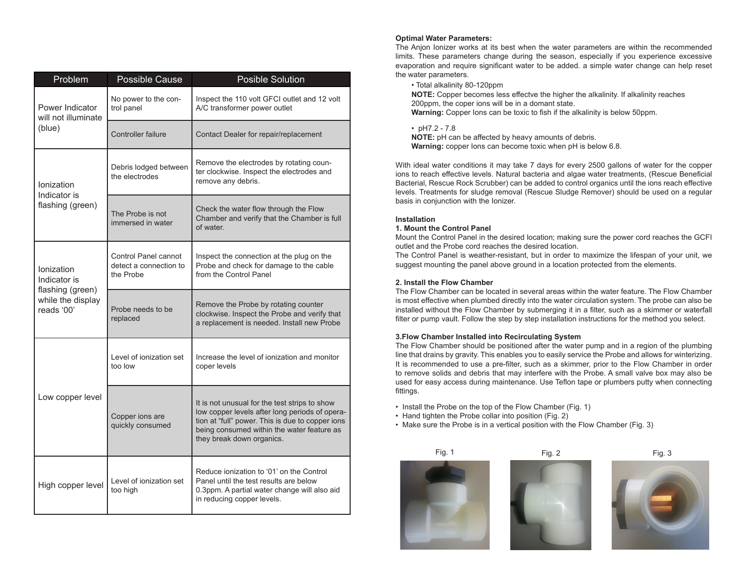| Problem                                                                           | <b>Possible Cause</b>                                       | <b>Posible Solution</b>                                                                                                                                                                                                        |  |
|-----------------------------------------------------------------------------------|-------------------------------------------------------------|--------------------------------------------------------------------------------------------------------------------------------------------------------------------------------------------------------------------------------|--|
| Power Indicator<br>will not illuminate<br>(blue)                                  | No power to the con-<br>trol panel                          | Inspect the 110 volt GFCI outlet and 12 volt<br>A/C transformer power outlet                                                                                                                                                   |  |
|                                                                                   | Controller failure                                          | Contact Dealer for repair/replacement                                                                                                                                                                                          |  |
| Ionization<br>Indicator is<br>flashing (green)                                    | Debris lodged between<br>the electrodes                     | Remove the electrodes by rotating coun-<br>ter clockwise. Inspect the electrodes and<br>remove any debris.                                                                                                                     |  |
|                                                                                   | The Probe is not<br>immersed in water                       | Check the water flow through the Flow<br>Chamber and verify that the Chamber is full<br>of water                                                                                                                               |  |
| Ionization<br>Indicator is<br>flashing (green)<br>while the display<br>reads '00' | Control Panel cannot<br>detect a connection to<br>the Probe | Inspect the connection at the plug on the<br>Probe and check for damage to the cable<br>from the Control Panel                                                                                                                 |  |
|                                                                                   | Probe needs to be<br>replaced                               | Remove the Probe by rotating counter<br>clockwise. Inspect the Probe and verify that<br>a replacement is needed. Install new Probe                                                                                             |  |
| Low copper level                                                                  | Level of ionization set<br>too low                          | Increase the level of ionization and monitor<br>coper levels                                                                                                                                                                   |  |
|                                                                                   | Copper ions are<br>quickly consumed                         | It is not unusual for the test strips to show<br>low copper levels after long periods of opera-<br>tion at "full" power. This is due to copper ions<br>being consumed within the water feature as<br>they break down organics. |  |
| High copper level                                                                 | Level of ionization set<br>too high                         | Reduce ionization to '01' on the Control<br>Panel until the test results are below<br>0.3ppm. A partial water change will also aid<br>in reducing copper levels.                                                               |  |

#### **Optimal Water Parameters:**

The Anjon Ionizer works at its best when the water parameters are within the recommended limits. These parameters change during the season, especially if you experience excessive evaporation and require significant water to be added. a simple water change can help reset the water parameters.

• Total alkalinity 80-120ppm

**NOTE:** Copper becomes less effectve the higher the alkalinity. If alkalinity reaches 200ppm, the coper ions will be in a domant state. **Warning:** Copper Ions can be toxic to fish if the alkalinity is below 50ppm.

• pH7.2 - 7.8

**NOTE:** pH can be affected by heavy amounts of debris. **Warning:** copper Ions can become toxic when pH is below 6.8.

With ideal water conditions it may take 7 days for every 2500 gallons of water for the copper ions to reach effective levels. Natural bacteria and algae water treatments, (Rescue Beneficial Bacterial, Rescue Rock Scrubber) can be added to control organics until the ions reach effective levels. Treatments for sludge removal (Rescue Sludge Remover) should be used on a regular basis in conjunction with the Ionizer.

#### **Installation**

#### **1. Mount the Control Panel**

Mount the Control Panel in the desired location; making sure the power cord reaches the GCFI outlet and the Probe cord reaches the desired location.

The Control Panel is weather-resistant, but in order to maximize the lifespan of your unit, we suggest mounting the panel above ground in a location protected from the elements.

#### **2. Install the Flow Chamber**

The Flow Chamber can be located in several areas within the water feature. The Flow Chamber is most effective when plumbed directly into the water circulation system. The probe can also be installed without the Flow Chamber by submerging it in a filter, such as a skimmer or waterfall filter or pump vault. Follow the step by step installation instructions for the method you select.

#### **3.Flow Chamber Installed into Recirculating System**

The Flow Chamber should be positioned after the water pump and in a region of the plumbing line that drains by gravity. This enables you to easily service the Probe and allows for winterizing. It is recommended to use a pre-filter, such as a skimmer, prior to the Flow Chamber in order to remove solids and debris that may interfere with the Probe. A small valve box may also be used for easy access during maintenance. Use Teflon tape or plumbers putty when connecting fittings.

- Install the Probe on the top of the Flow Chamber (Fig. 1)
- Hand tighten the Probe collar into position (Fig. 2)
- Make sure the Probe is in a vertical position with the Flow Chamber (Fig. 3)



Fig. 1 Fig. 2 Fig. 3